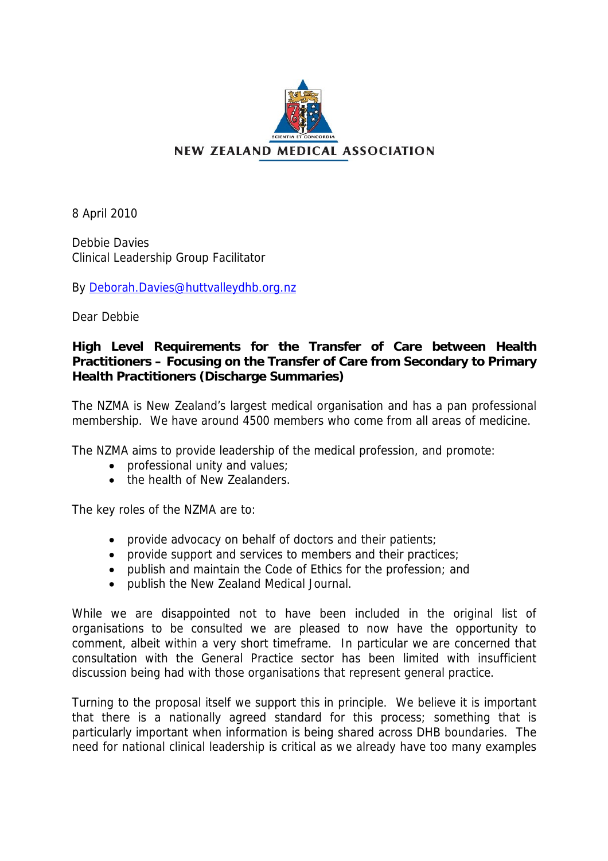

8 April 2010

Debbie Davies Clinical Leadership Group Facilitator

By [Deborah.Davies@huttvalleydhb.org.nz](mailto:Debbie.Davies@huttvalleydhb.org.nz)

Dear Debbie

# **High Level Requirements for the Transfer of Care between Health Practitioners – Focusing on the Transfer of Care from Secondary to Primary Health Practitioners (Discharge Summaries)**

The NZMA is New Zealand's largest medical organisation and has a pan professional membership. We have around 4500 members who come from all areas of medicine.

The NZMA aims to provide leadership of the medical profession, and promote:

- professional unity and values;
- the health of New Zealanders.

The key roles of the NZMA are to:

- provide advocacy on behalf of doctors and their patients;
- provide support and services to members and their practices;
- publish and maintain the Code of Ethics for the profession; and
- publish the New Zealand Medical Journal.

While we are disappointed not to have been included in the original list of organisations to be consulted we are pleased to now have the opportunity to comment, albeit within a very short timeframe. In particular we are concerned that consultation with the General Practice sector has been limited with insufficient discussion being had with those organisations that represent general practice.

Turning to the proposal itself we support this in principle. We believe it is important that there is a nationally agreed standard for this process; something that is particularly important when information is being shared across DHB boundaries. The need for national clinical leadership is critical as we already have too many examples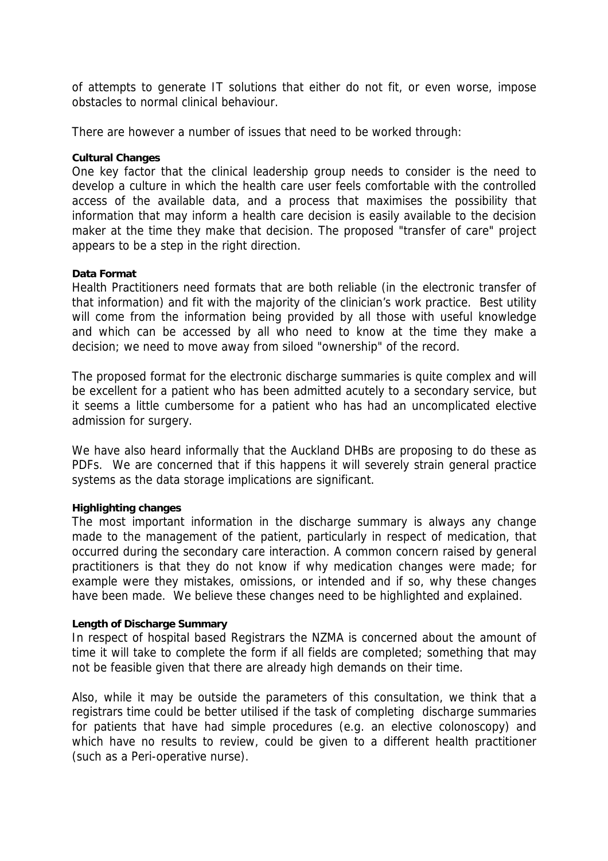of attempts to generate IT solutions that either do not fit, or even worse, impose obstacles to normal clinical behaviour.

There are however a number of issues that need to be worked through:

# **Cultural Changes**

One key factor that the clinical leadership group needs to consider is the need to develop a culture in which the health care user feels comfortable with the controlled access of the available data, and a process that maximises the possibility that information that may inform a health care decision is easily available to the decision maker at the time they make that decision. The proposed "transfer of care" project appears to be a step in the right direction.

### **Data Format**

Health Practitioners need formats that are both reliable (in the electronic transfer of that information) and fit with the majority of the clinician's work practice. Best utility will come from the information being provided by all those with useful knowledge and which can be accessed by all who need to know at the time they make a decision; we need to move away from siloed "ownership" of the record.

The proposed format for the electronic discharge summaries is quite complex and will be excellent for a patient who has been admitted acutely to a secondary service, but it seems a little cumbersome for a patient who has had an uncomplicated elective admission for surgery.

We have also heard informally that the Auckland DHBs are proposing to do these as PDFs. We are concerned that if this happens it will severely strain general practice systems as the data storage implications are significant.

# **Highlighting changes**

The most important information in the discharge summary is always any change made to the management of the patient, particularly in respect of medication, that occurred during the secondary care interaction. A common concern raised by general practitioners is that they do not know if why medication changes were made; for example were they mistakes, omissions, or intended and if so, why these changes have been made. We believe these changes need to be highlighted and explained.

# **Length of Discharge Summary**

In respect of hospital based Registrars the NZMA is concerned about the amount of time it will take to complete the form if all fields are completed; something that may not be feasible given that there are already high demands on their time.

Also, while it may be outside the parameters of this consultation, we think that a registrars time could be better utilised if the task of completing discharge summaries for patients that have had simple procedures (e.g. an elective colonoscopy) and which have no results to review, could be given to a different health practitioner (such as a Peri-operative nurse).